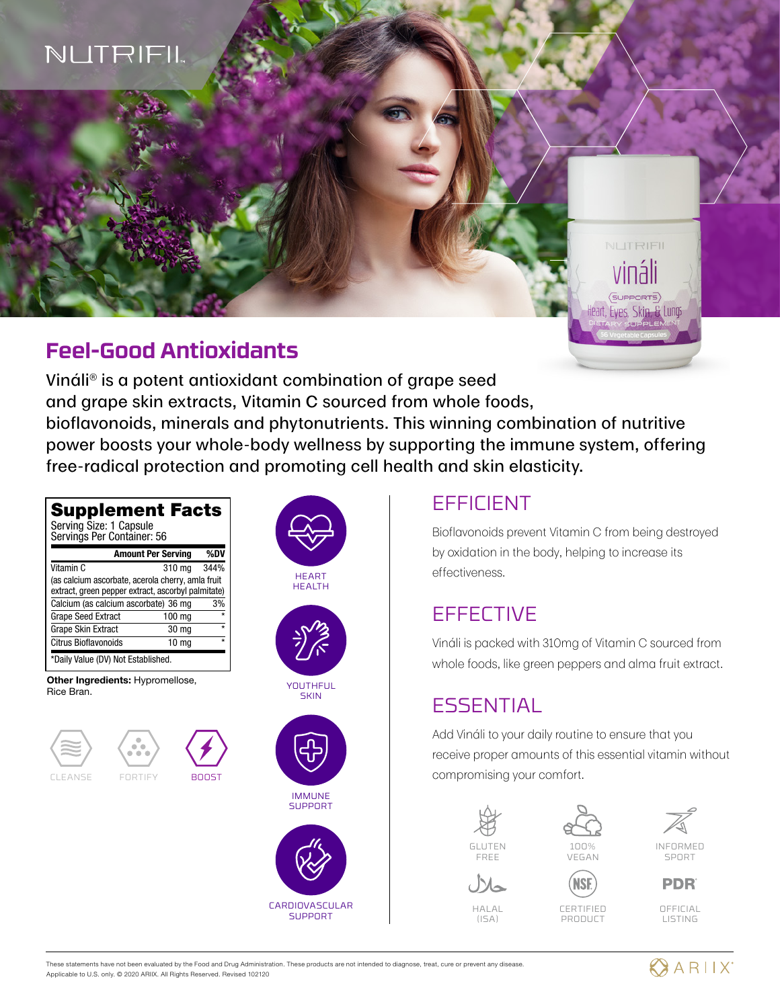# NUTRIFIL

## **Feel-Good Antioxidants**

Vináli® is a potent antioxidant combination of grape seed and grape skin extracts, Vitamin C sourced from whole foods, bioflavonoids, minerals and phytonutrients. This winning combination of nutritive power boosts your whole-body wellness by supporting the immune system, offering free-radical protection and promoting cell health and skin elasticity.



## EFFICIENT

Bioflavonoids prevent Vitamin C from being destroyed by oxidation in the body, helping to increase its effectiveness.

NUTRIFIL

SUPPORTS Heart, Eyes, Skin, & Lungs

## **EFFECTIVE**

Vináli is packed with 310mg of Vitamin C sourced from whole foods, like green peppers and alma fruit extract.

## **ESSENTIAL**

Add Vináli to your daily routine to ensure that you receive proper amounts of this essential vitamin without compromising your comfort.



 $H \Delta L$  $(ISA)$ 





SPORT **PDR** 



CERTIFIED PRODUCT

OFFICIAL LISTING

These statements have not been evaluated by the Food and Drug Administration. These products are not intended to diagnose, treat, cure or prevent any disease. Applicable to U.S. only. © 2020 ARIIX. All Rights Reserved. Revised 102120

CARDIOVASCULAR **SUPPORT** 

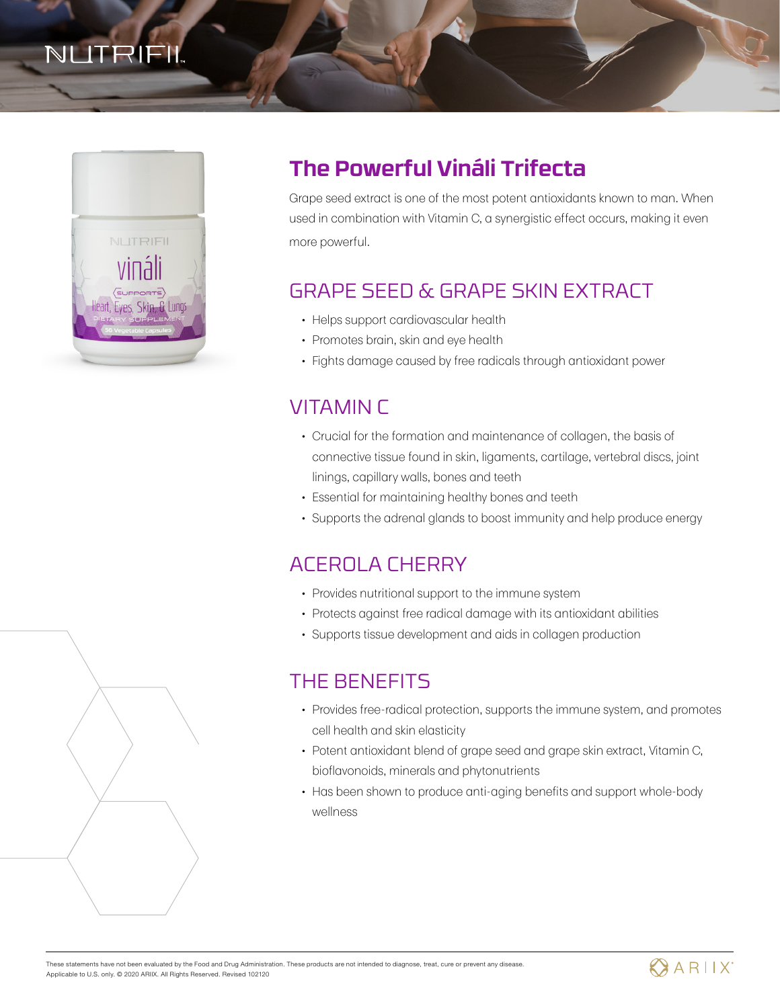# NUTRIFIL



## **The Powerful Vináli Trifecta**

Grape seed extract is one of the most potent antioxidants known to man. When used in combination with Vitamin C, a synergistic effect occurs, making it even more powerful.

## GRAPE SEED & GRAPE SKIN EXTRACT

- Helps support cardiovascular health
- Promotes brain, skin and eye health
- Fights damage caused by free radicals through antioxidant power

## VITAMIN C

- Crucial for the formation and maintenance of collagen, the basis of connective tissue found in skin, ligaments, cartilage, vertebral discs, joint linings, capillary walls, bones and teeth
- Essential for maintaining healthy bones and teeth
- Supports the adrenal glands to boost immunity and help produce energy

## ACEROLA CHERRY

- Provides nutritional support to the immune system
- Protects against free radical damage with its antioxidant abilities
- Supports tissue development and aids in collagen production

### THE BENEFITS

- Provides free-radical protection, supports the immune system, and promotes cell health and skin elasticity
- Potent antioxidant blend of grape seed and grape skin extract, Vitamin C, bioflavonoids, minerals and phytonutrients
- Has been shown to produce anti-aging benefits and support whole-body wellness